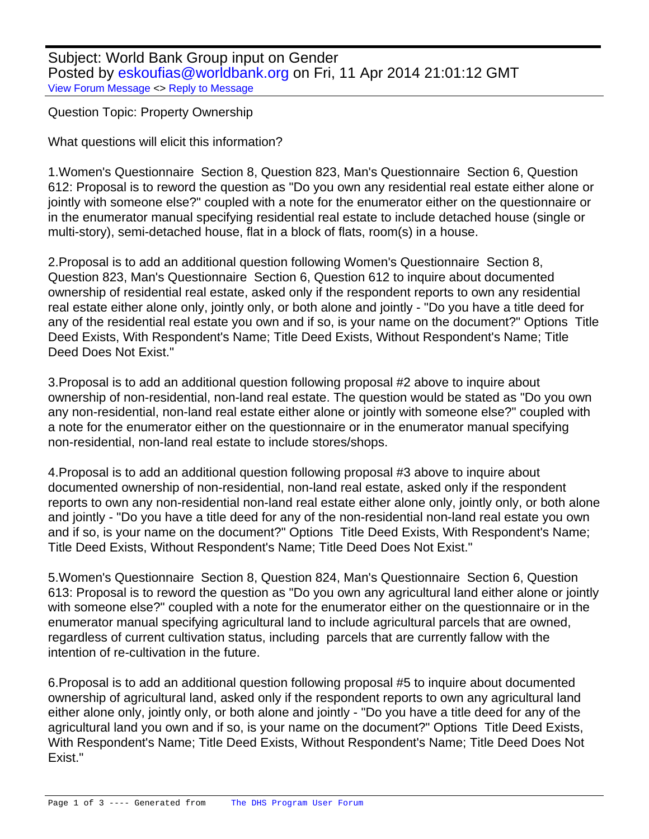Subject: World Bank Group input on Gender Posted by [eskoufias@worldbank.org](https://userforum.dhsprogram.com/index.php?t=usrinfo&id=1731) on Fri, 11 Apr 2014 21:01:12 GMT [View Forum Message](https://userforum.dhsprogram.com/index.php?t=rview&th=1158&goto=1982#msg_1982) <> [Reply to Message](https://userforum.dhsprogram.com/index.php?t=post&reply_to=1982)

Question Topic: Property Ownership

What questions will elicit this information?

1. Women's Questionnaire Section 8, Question 823, Man's Questionnaire Section 6, Question 612: Proposal is to reword the question as "Do you own any residential real estate either alone or jointly with someone else?" coupled with a note for the enumerator either on the questionnaire or in the enumerator manual specifying residential real estate to include detached house (single or multi-story), semi-detached house, flat in a block of flats, room(s) in a house.

2. Proposal is to add an additional question following Women's Questionnaire Section 8, Question 823, Man's Questionnaire Section 6, Question 612 to inquire about documented ownership of residential real estate, asked only if the respondent reports to own any residential real estate either alone only, jointly only, or both alone and jointly - "Do you have a title deed for any of the residential real estate you own and if so, is your name on the document?" Options Title Deed Exists, With Respondent's Name; Title Deed Exists, Without Respondent's Name; Title Deed Does Not Exist."

3. Proposal is to add an additional question following proposal #2 above to inquire about ownership of non-residential, non-land real estate. The question would be stated as "Do you own any non-residential, non-land real estate either alone or jointly with someone else?" coupled with a note for the enumerator either on the questionnaire or in the enumerator manual specifying non-residential, non-land real estate to include stores/shops.

4. Proposal is to add an additional question following proposal #3 above to inquire about documented ownership of non-residential, non-land real estate, asked only if the respondent reports to own any non-residential non-land real estate either alone only, jointly only, or both alone and jointly - "Do you have a title deed for any of the non-residential non-land real estate you own and if so, is your name on the document?" Options Title Deed Exists, With Respondent's Name; Title Deed Exists, Without Respondent's Name; Title Deed Does Not Exist."

5. Women's Questionnaire Section 8, Question 824, Man's Questionnaire Section 6, Question 613: Proposal is to reword the question as "Do you own any agricultural land either alone or jointly with someone else?" coupled with a note for the enumerator either on the questionnaire or in the enumerator manual specifying agricultural land to include agricultural parcels that are owned, regardless of current cultivation status, including parcels that are currently fallow with the intention of re-cultivation in the future.

6. Proposal is to add an additional question following proposal #5 to inquire about documented ownership of agricultural land, asked only if the respondent reports to own any agricultural land either alone only, jointly only, or both alone and jointly - "Do you have a title deed for any of the agricultural land you own and if so, is your name on the document?" Options Title Deed Exists, With Respondent's Name; Title Deed Exists, Without Respondent's Name; Title Deed Does Not Exist."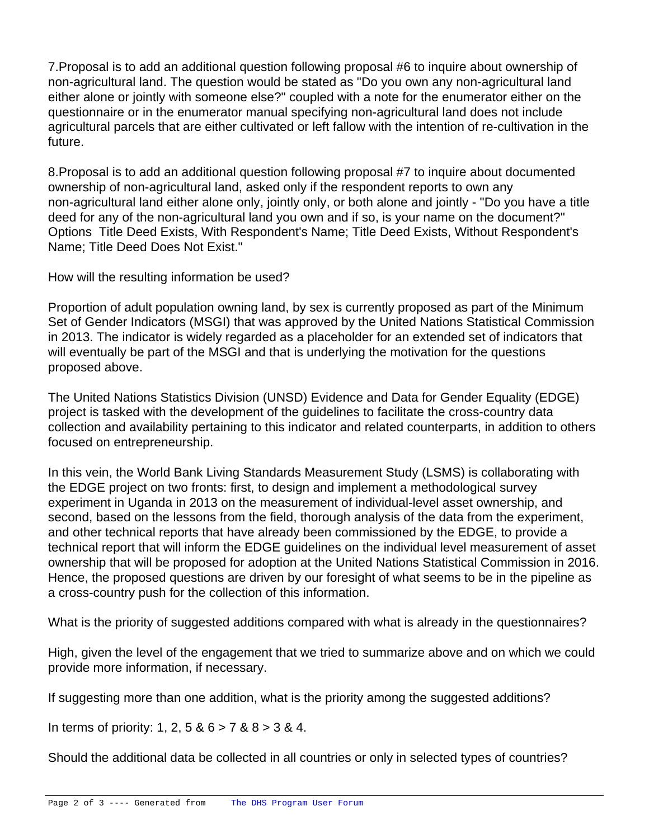7. Proposal is to add an additional question following proposal #6 to inquire about ownership of non-agricultural land. The question would be stated as "Do you own any non-agricultural land either alone or jointly with someone else?" coupled with a note for the enumerator either on the questionnaire or in the enumerator manual specifying non-agricultural land does not include agricultural parcels that are either cultivated or left fallow with the intention of re-cultivation in the future.

8. Proposal is to add an additional question following proposal #7 to inquire about documented ownership of non-agricultural land, asked only if the respondent reports to own any non-agricultural land either alone only, jointly only, or both alone and jointly - "Do you have a title deed for any of the non-agricultural land you own and if so, is your name on the document?" Options Title Deed Exists, With Respondent's Name; Title Deed Exists, Without Respondent's Name; Title Deed Does Not Exist."

How will the resulting information be used?

Proportion of adult population owning land, by sex is currently proposed as part of the Minimum Set of Gender Indicators (MSGI) that was approved by the United Nations Statistical Commission in 2013. The indicator is widely regarded as a placeholder for an extended set of indicators that will eventually be part of the MSGI and that is underlying the motivation for the questions proposed above.

The United Nations Statistics Division (UNSD) Evidence and Data for Gender Equality (EDGE) project is tasked with the development of the guidelines to facilitate the cross-country data collection and availability pertaining to this indicator and related counterparts, in addition to others focused on entrepreneurship.

In this vein, the World Bank Living Standards Measurement Study (LSMS) is collaborating with the EDGE project on two fronts: first, to design and implement a methodological survey experiment in Uganda in 2013 on the measurement of individual-level asset ownership, and second, based on the lessons from the field, thorough analysis of the data from the experiment, and other technical reports that have already been commissioned by the EDGE, to provide a technical report that will inform the EDGE guidelines on the individual level measurement of asset ownership that will be proposed for adoption at the United Nations Statistical Commission in 2016. Hence, the proposed questions are driven by our foresight of what seems to be in the pipeline as a cross-country push for the collection of this information.

What is the priority of suggested additions compared with what is already in the questionnaires?

High, given the level of the engagement that we tried to summarize above and on which we could provide more information, if necessary.

If suggesting more than one addition, what is the priority among the suggested additions?

In terms of priority: 1, 2, 5 &  $6 > 7$  &  $8 > 3$  & 4.

Should the additional data be collected in all countries or only in selected types of countries?